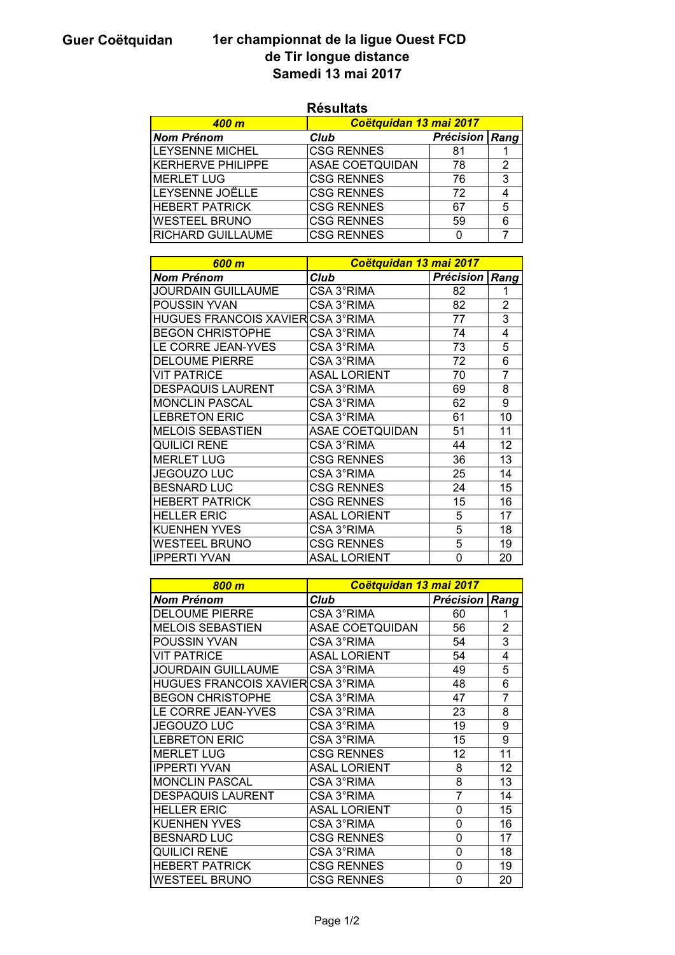## Guer Coëtquidan 1er championnat de la ligue Ouest FCD de Tir longue distance Samedi 13 mai 2017

|                                          | nesunals               |                  |                |
|------------------------------------------|------------------------|------------------|----------------|
| <b>400 m</b>                             | Coëtquidan 13 mai 2017 |                  |                |
| <b>Nom Prénom</b>                        | <b>Club</b>            | <b>Précision</b> | Rang           |
| <b>LEYSENNE MICHEL</b>                   | <b>CSG RENNES</b>      | 81               | 1              |
| <b>KERHERVE PHILIPPE</b>                 | <b>ASAE COETQUIDAN</b> | 78               | 2              |
| <b>MERLET LUG</b>                        | <b>CSG RENNES</b>      | 76               | 3              |
| LEYSENNE JOËLLE                          | <b>CSG RENNES</b>      | 72               | 4              |
| <b>HEBERT PATRICK</b>                    | <b>CSG RENNES</b>      | 67               | 5              |
| <b>WESTEEL BRUNO</b>                     | <b>CSG RENNES</b>      | 59               | 6              |
| RICHARD GUILLAUME                        | <b>CSG RENNES</b>      | 0                | 7              |
|                                          |                        |                  |                |
| 600 m                                    | Coëtquidan 13 mai 2017 |                  |                |
| <b>Nom Prénom</b>                        | <b>Club</b>            | <b>Précision</b> | Rang           |
| <b>JOURDAIN GUILLAUME</b>                | <b>CSA 3°RIMA</b>      | $\overline{82}$  | 1              |
| POUSSIN YVAN                             | CSA 3°RIMA             | 82               | $\overline{2}$ |
| <b>HUGUES FRANCOIS XAVIER CSA 3°RIMA</b> |                        | 77               | 3              |
| <b>BEGON CHRISTOPHE</b>                  | CSA 3°RIMA             | 74               | $\overline{4}$ |
| LE CORRE JEAN-YVES                       | CSA 3°RIMA             | 73               | 5              |
| <b>DELOUME PIERRE</b>                    | CSA 3°RIMA             | 72               | 6              |
|                                          |                        |                  |                |
| <b>VIT PATRICE</b>                       | <b>ASAL LORIENT</b>    | 70               | 7              |
| <b>DESPAQUIS LAURENT</b>                 | CSA 3°RIMA             | 69               | 8              |
| <b>MONCLIN PASCAL</b>                    | CSA 3°RIMA             | 62               | 9              |
| <b>LEBRETON ERIC</b>                     | CSA 3°RIMA             | 61               | 10             |
| <b>MELOIS SEBASTIEN</b>                  | <b>ASAE COETQUIDAN</b> | 51               | 11             |
| <b>QUILICI RENE</b>                      | CSA 3°RIMA             | 44               | 12             |
| <b>MERLET LUG</b>                        | <b>CSG RENNES</b>      | 36               | 13             |
| <b>JEGOUZO LUC</b>                       | CSA 3°RIMA             | 25               | 14             |
| <b>BESNARD LUC</b>                       | <b>CSG RENNES</b>      | 24               | 15             |
| <b>HEBERT PATRICK</b>                    | <b>CSG RENNES</b>      | 15               | 16             |
| <b>HELLER ERIC</b>                       | <b>ASAL LORIENT</b>    | 5                | 17             |
| <b>KUENHEN YVES</b>                      | CSA 3°RIMA             | 5                | 18             |
| <b>WESTEEL BRUNO</b>                     | <b>CSG RENNES</b>      | 5                | 19             |
| <b>IPPERTI YVAN</b>                      | <b>ASAL LORIENT</b>    | 0                | 20             |
|                                          |                        |                  |                |
| 800 <sub>m</sub>                         | Coëtquidan 13 mai 2017 |                  |                |
| <b>Nom Prénom</b>                        | <b>Club</b>            | <b>Précision</b> | Rang           |
| <b>DELOUME PIERRE</b>                    | CSA 3°RIMA             | 60               | 1              |
| <b>MELOIS SEBASTIEN</b>                  | <b>ASAE COETQUIDAN</b> | 56               | 2              |
| POUSSIN YVAN                             | CSA 3°RIMA             | 54               | 3              |
| <b>VIT PATRICE</b>                       | <b>ASAL LORIENT</b>    | 54               | 4              |
| <b>JOURDAIN GUILLAUME</b>                | CSA 3°RIMA             | 49               | 5              |
| HUGUES FRANCOIS XAVIER CSA 3°RIMA        |                        | 48               | 6              |
|                                          | CSA 3°RIMA             | 47               |                |
| <b>BEGON CHRISTOPHE</b>                  |                        |                  | 7              |
| LE CORRE JEAN-YVES                       | CSA 3°RIMA             | 23               | 8              |
| <b>JEGOUZO LUC</b>                       | CSA 3°RIMA             | 19               | 9              |
| <b>LEBRETON ERIC</b>                     | CSA 3°RIMA             | 15               | 9              |
| <b>MERLET LUG</b>                        | <b>CSG RENNES</b>      | 12               | 11             |
| <b>IPPERTI YVAN</b>                      | <b>ASAL LORIENT</b>    | 8                | 12             |
| <b>MONCLIN PASCAL</b>                    | CSA 3°RIMA             | 8                | 13             |
| <b>DESPAQUIS LAURENT</b>                 | CSA 3°RIMA             | $\overline{7}$   | 14             |
| <b>HELLER ERIC</b>                       | <b>ASAL LORIENT</b>    | 0                | 15             |
| <b>KUENHEN YVES</b>                      | CSA 3°RIMA             | 0                | 16             |
| <b>BESNARD LUC</b>                       | <b>CSG RENNES</b>      | 0                | 17             |
| <b>QUILICI RENE</b>                      | CSA 3°RIMA             | 0                | 18             |
| <b>HEBERT PATRICK</b>                    | <b>CSG RENNES</b>      | 0                | 19             |
| <b>WESTEEL BRUNO</b>                     | <b>CSG RENNES</b>      | 0                | 20             |